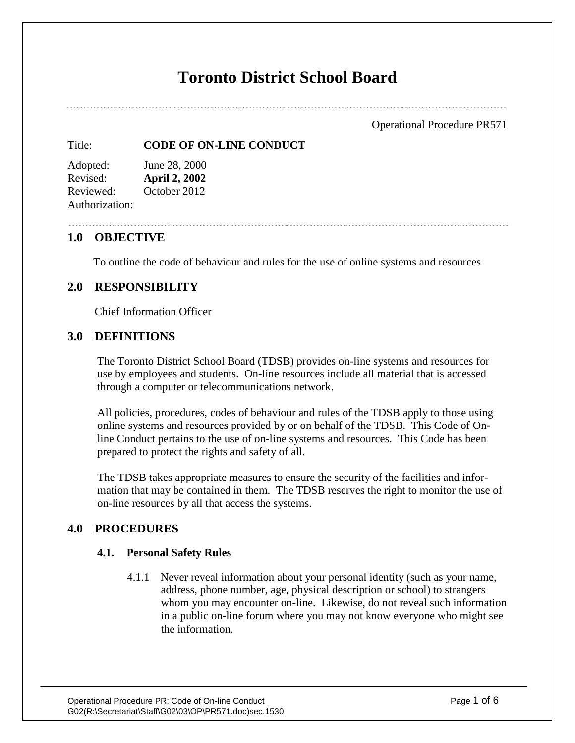# **Toronto District School Board**

Operational Procedure PR571

#### Title: **CODE OF ON-LINE CONDUCT**

Adopted: June 28, 2000 Revised: **April 2, 2002** Reviewed: October 2012 Authorization:

#### **1.0 OBJECTIVE**

To outline the code of behaviour and rules for the use of online systems and resources

# **2.0 RESPONSIBILITY**

Chief Information Officer

## **3.0 DEFINITIONS**

The Toronto District School Board (TDSB) provides on-line systems and resources for use by employees and students. On-line resources include all material that is accessed through a computer or telecommunications network.

All policies, procedures, codes of behaviour and rules of the TDSB apply to those using online systems and resources provided by or on behalf of the TDSB. This Code of Online Conduct pertains to the use of on-line systems and resources. This Code has been prepared to protect the rights and safety of all.

The TDSB takes appropriate measures to ensure the security of the facilities and information that may be contained in them. The TDSB reserves the right to monitor the use of on-line resources by all that access the systems.

# **4.0 PROCEDURES**

#### **4.1. Personal Safety Rules**

4.1.1 Never reveal information about your personal identity (such as your name, address, phone number, age, physical description or school) to strangers whom you may encounter on-line. Likewise, do not reveal such information in a public on-line forum where you may not know everyone who might see the information.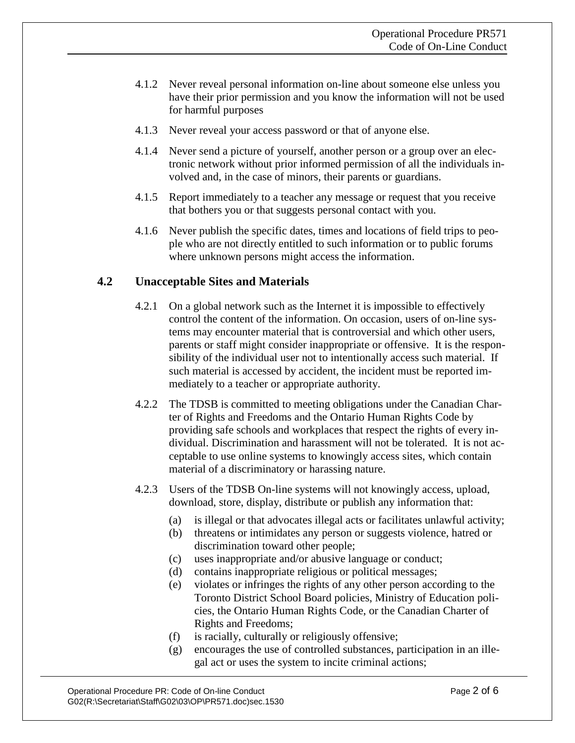- 4.1.2 Never reveal personal information on-line about someone else unless you have their prior permission and you know the information will not be used for harmful purposes
- 4.1.3 Never reveal your access password or that of anyone else.
- 4.1.4 Never send a picture of yourself, another person or a group over an electronic network without prior informed permission of all the individuals involved and, in the case of minors, their parents or guardians.
- 4.1.5 Report immediately to a teacher any message or request that you receive that bothers you or that suggests personal contact with you.
- 4.1.6 Never publish the specific dates, times and locations of field trips to people who are not directly entitled to such information or to public forums where unknown persons might access the information.

# **4.2 Unacceptable Sites and Materials**

- 4.2.1 On a global network such as the Internet it is impossible to effectively control the content of the information. On occasion, users of on-line systems may encounter material that is controversial and which other users, parents or staff might consider inappropriate or offensive. It is the responsibility of the individual user not to intentionally access such material. If such material is accessed by accident, the incident must be reported immediately to a teacher or appropriate authority.
- 4.2.2 The TDSB is committed to meeting obligations under the Canadian Charter of Rights and Freedoms and the Ontario Human Rights Code by providing safe schools and workplaces that respect the rights of every individual. Discrimination and harassment will not be tolerated. It is not acceptable to use online systems to knowingly access sites, which contain material of a discriminatory or harassing nature.
- 4.2.3 Users of the TDSB On-line systems will not knowingly access, upload, download, store, display, distribute or publish any information that:
	- (a) is illegal or that advocates illegal acts or facilitates unlawful activity;
	- (b) threatens or intimidates any person or suggests violence, hatred or discrimination toward other people;
	- (c) uses inappropriate and/or abusive language or conduct;
	- (d) contains inappropriate religious or political messages;
	- (e) violates or infringes the rights of any other person according to the Toronto District School Board policies, Ministry of Education policies, the Ontario Human Rights Code, or the Canadian Charter of Rights and Freedoms;
	- (f) is racially, culturally or religiously offensive;
	- (g) encourages the use of controlled substances, participation in an illegal act or uses the system to incite criminal actions;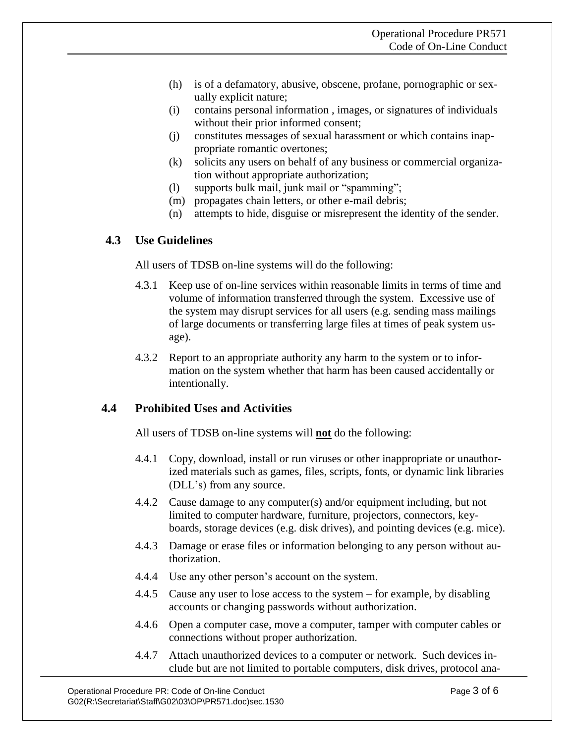- (h) is of a defamatory, abusive, obscene, profane, pornographic or sexually explicit nature;
- (i) contains personal information , images, or signatures of individuals without their prior informed consent;
- (j) constitutes messages of sexual harassment or which contains inappropriate romantic overtones;
- (k) solicits any users on behalf of any business or commercial organization without appropriate authorization;
- (l) supports bulk mail, junk mail or "spamming";
- (m) propagates chain letters, or other e-mail debris;
- (n) attempts to hide, disguise or misrepresent the identity of the sender.

## **4.3 Use Guidelines**

All users of TDSB on-line systems will do the following:

- 4.3.1 Keep use of on-line services within reasonable limits in terms of time and volume of information transferred through the system. Excessive use of the system may disrupt services for all users (e.g. sending mass mailings of large documents or transferring large files at times of peak system usage).
- 4.3.2 Report to an appropriate authority any harm to the system or to information on the system whether that harm has been caused accidentally or intentionally.

## **4.4 Prohibited Uses and Activities**

All users of TDSB on-line systems will **not** do the following:

- 4.4.1 Copy, download, install or run viruses or other inappropriate or unauthorized materials such as games, files, scripts, fonts, or dynamic link libraries (DLL's) from any source.
- 4.4.2 Cause damage to any computer(s) and/or equipment including, but not limited to computer hardware, furniture, projectors, connectors, keyboards, storage devices (e.g. disk drives), and pointing devices (e.g. mice).
- 4.4.3 Damage or erase files or information belonging to any person without authorization.
- 4.4.4 Use any other person's account on the system.
- 4.4.5 Cause any user to lose access to the system for example, by disabling accounts or changing passwords without authorization.
- 4.4.6 Open a computer case, move a computer, tamper with computer cables or connections without proper authorization.
- 4.4.7 Attach unauthorized devices to a computer or network. Such devices include but are not limited to portable computers, disk drives, protocol ana-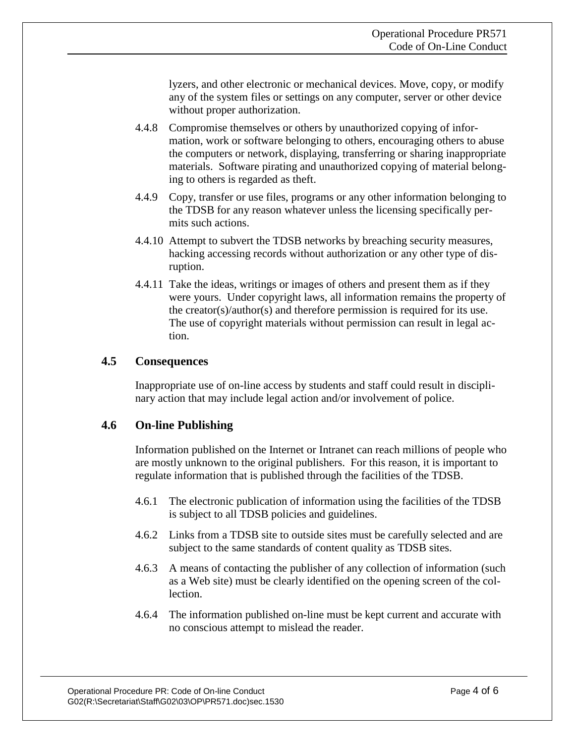lyzers, and other electronic or mechanical devices. Move, copy, or modify any of the system files or settings on any computer, server or other device without proper authorization.

- 4.4.8 Compromise themselves or others by unauthorized copying of information, work or software belonging to others, encouraging others to abuse the computers or network, displaying, transferring or sharing inappropriate materials. Software pirating and unauthorized copying of material belonging to others is regarded as theft.
- 4.4.9 Copy, transfer or use files, programs or any other information belonging to the TDSB for any reason whatever unless the licensing specifically permits such actions.
- 4.4.10 Attempt to subvert the TDSB networks by breaching security measures, hacking accessing records without authorization or any other type of disruption.
- 4.4.11 Take the ideas, writings or images of others and present them as if they were yours. Under copyright laws, all information remains the property of the creator(s)/author(s) and therefore permission is required for its use. The use of copyright materials without permission can result in legal action.

## **4.5 Consequences**

Inappropriate use of on-line access by students and staff could result in disciplinary action that may include legal action and/or involvement of police.

## **4.6 On-line Publishing**

Information published on the Internet or Intranet can reach millions of people who are mostly unknown to the original publishers. For this reason, it is important to regulate information that is published through the facilities of the TDSB.

- 4.6.1 The electronic publication of information using the facilities of the TDSB is subject to all TDSB policies and guidelines.
- 4.6.2 Links from a TDSB site to outside sites must be carefully selected and are subject to the same standards of content quality as TDSB sites.
- 4.6.3 A means of contacting the publisher of any collection of information (such as a Web site) must be clearly identified on the opening screen of the collection.
- 4.6.4 The information published on-line must be kept current and accurate with no conscious attempt to mislead the reader.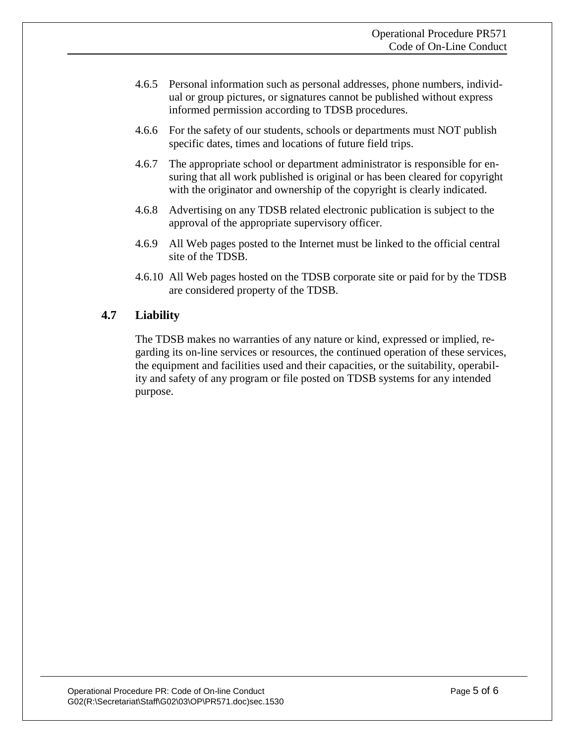- 4.6.5 Personal information such as personal addresses, phone numbers, individual or group pictures, or signatures cannot be published without express informed permission according to TDSB procedures.
- 4.6.6 For the safety of our students, schools or departments must NOT publish specific dates, times and locations of future field trips.
- 4.6.7 The appropriate school or department administrator is responsible for ensuring that all work published is original or has been cleared for copyright with the originator and ownership of the copyright is clearly indicated.
- 4.6.8 Advertising on any TDSB related electronic publication is subject to the approval of the appropriate supervisory officer.
- 4.6.9 All Web pages posted to the Internet must be linked to the official central site of the TDSB.
- 4.6.10 All Web pages hosted on the TDSB corporate site or paid for by the TDSB are considered property of the TDSB.

# **4.7 Liability**

The TDSB makes no warranties of any nature or kind, expressed or implied, regarding its on-line services or resources, the continued operation of these services, the equipment and facilities used and their capacities, or the suitability, operability and safety of any program or file posted on TDSB systems for any intended purpose.